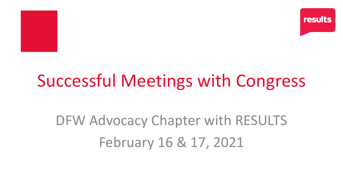



### Successful Meetings with Congress

DFW Advocacy Chapter with RESULTS February 16 & 17, 2021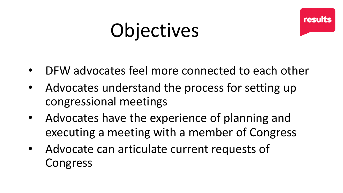# Objectives

• DFW advocates feel more connected to each other

- Advocates understand the process for setting up congressional meetings
- Advocates have the experience of planning and executing a meeting with a member of Congress
- Advocate can articulate current requests of Congress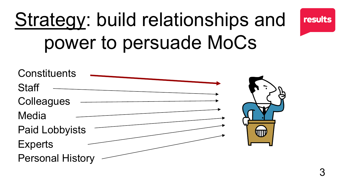# **Strategy: build relationships and** power to persuade MoCs

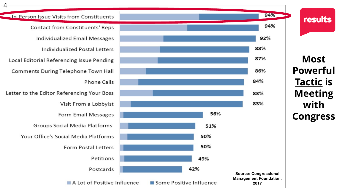#### 94% 94% **Contact from Constituents' Reps** 92% **Individualized Email Messages** 88% Individualized Postal Letters 87% Local Editorial Referencing Issue Pending **Comments During Telephone Town Hall** 86% 84% **Phone Calls** Letter to the Editor Referencing Your Boss 83% 83% Visit From a Lobbyist 56% **Form Email Messages** Groups Social Media Platforms 51% Your Office's Social Media Platforms 50%

**Most Powerful Tactic is Meeting with Congress**

results

In-Person Issue Visits from Constituents



4

A Lot of Positive Influence

Some Positive Influence

**Source: Congressional Management Foundation, 2017**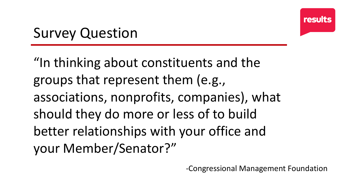#### Survey Question

"In thinking about constituents and the groups that represent them (e.g., associations, nonprofits, companies), what should they do more or less of to build better relationships with your office and your Member/Senator?"

-Congressional Management Foundation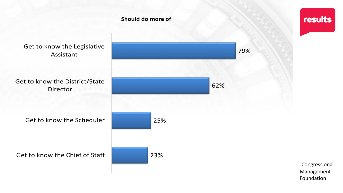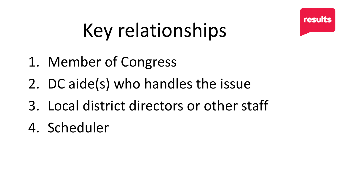

# Key relationships

- 1. Member of Congress
- 2. DC aide(s) who handles the issue
- 3. Local district directors or other staff
- 4. Scheduler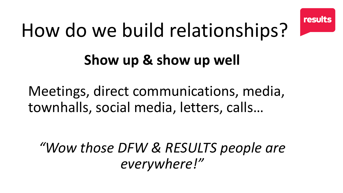

# How do we build relationships?

### **Show up & show up well**

#### Meetings, direct communications, media, townhalls, social media, letters, calls…

*"Wow those DFW & RESULTS people are everywhere!"*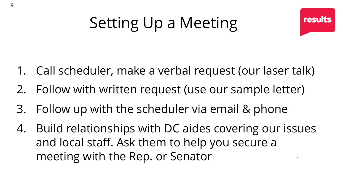### Setting Up a Meeting

- 1. Call scheduler, make a verbal request (our laser talk)
- 2. Follow with written request (use our sample letter)
- 3. Follow up with the scheduler via email & phone
- 4. Build relationships with DC aides covering our issues and local staff. Ask them to help you secure a meeting with the Rep. or Senator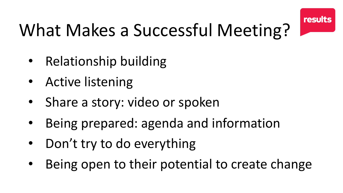

### What Makes a Successful Meeting?

- Relationship building
- Active listening
- Share a story: video or spoken
- Being prepared: agenda and information
- Don't try to do everything
- Being open to their potential to create change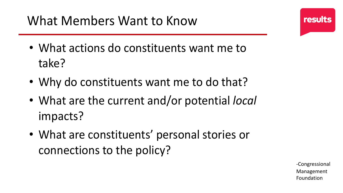- What actions do constituents want me to take?
- Why do constituents want me to do that?
- What are the current and/or potential *local*  impacts?
- What are constituents' personal stories or connections to the policy?

-Congressional Management Foundation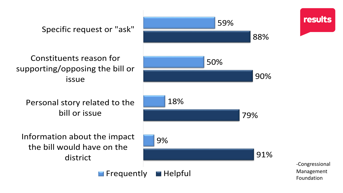Specific request or "ask"

Constituents reason for supporting/opposing the bill or issue

Personal story related to the bill or issue

Information about the impact the bill would have on the district

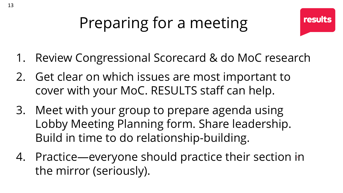



- 1. Review Congressional Scorecard & do MoC research
- 2. Get clear on which issues are most important to cover with your MoC. RESULTS staff can help.
- 3. Meet with your group to prepare agenda using Lobby Meeting Planning form. Share leadership. Build in time to do relationship-building.
- 4. Practice—everyone should practice their section in the mirror (seriously).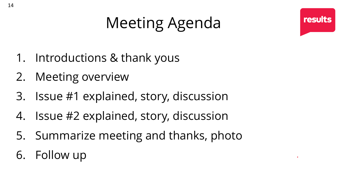### Meeting Agenda

- 1. Introductions & thank yous
- 2. Meeting overview
- 3. Issue #1 explained, story, discussion
- 4. Issue #2 explained, story, discussion
- 5. Summarize meeting and thanks, photo
- 6. Follow up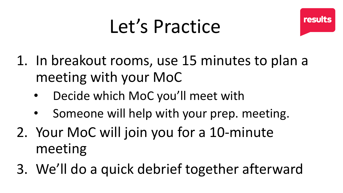### Let's Practice



- 1. In breakout rooms, use 15 minutes to plan a meeting with your MoC
	- Decide which MoC you'll meet with
	- Someone will help with your prep. meeting.
- 2. Your MoC will join you for a 10-minute meeting
- 3. We'll do a quick debrief together afterward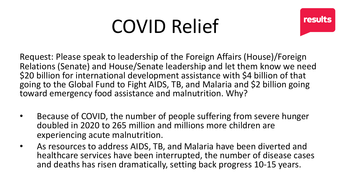### COVID Relief



Request: Please speak to leadership of the Foreign Affairs (House)/Foreign Relations (Senate) and House/Senate leadership and let them know we need \$20 billion for international development assistance with \$4 billion of that going to the Global Fund to Fight AIDS, TB, and Malaria and \$2 billion going toward emergency food assistance and malnutrition. Why?

- Because of COVID, the number of people suffering from severe hunger doubled in 2020 to 265 million and millions more children are experiencing acute malnutrition.
- As resources to address AIDS, TB, and Malaria have been diverted and healthcare services have been interrupted, the number of disease cases and deaths has risen dramatically, setting back progress 10-15 years.